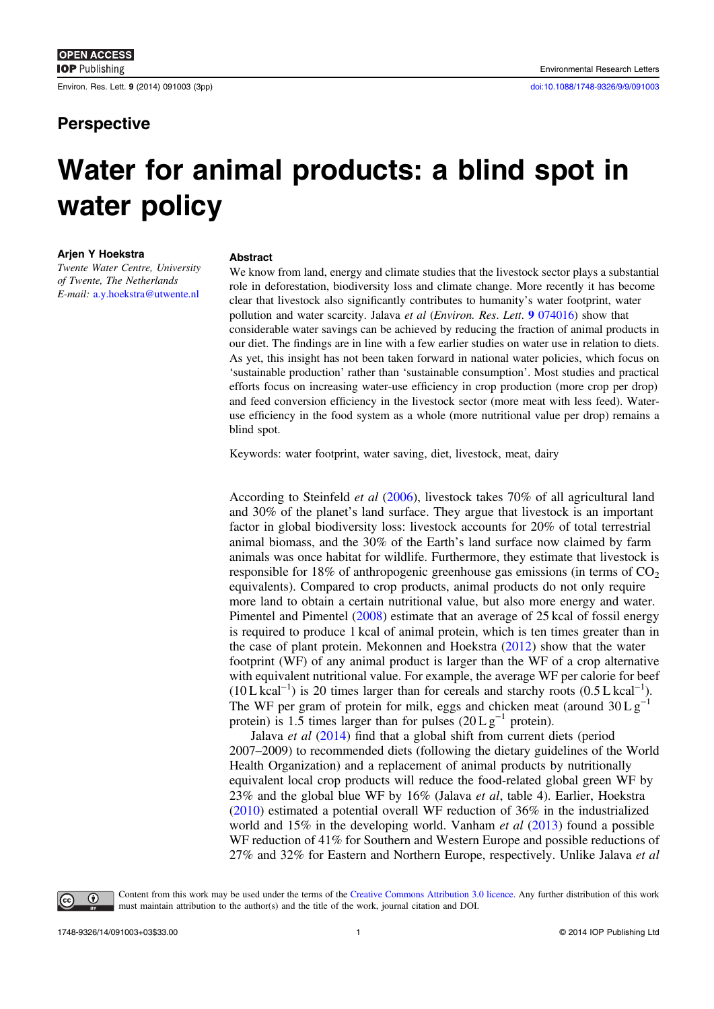**IOP** Publishing

Environ. Res. Lett. 9 (2014) 091003 (3pp) [doi:10.1088/1748-9326/9/9/091003](http://dx.doi.org/10.1088/1748-9326/9/9/091003)

## **Perspective**

# Water for animal products: a blind spot in water policy

### Arjen Y Hoekstra

Twente Water Centre, University of Twente, The Netherlands E-mail: [a.y.hoekstra@utwente.nl](mailto:a.y.hoekstra@utwente.nl)

#### Abstract

We know from land, energy and climate studies that the livestock sector plays a substantial role in deforestation, biodiversity loss and climate change. More recently it has become clear that livestock also significantly contributes to humanity's water footprint, water pollution and water scarcity. Jalava et al (Environ. Res. Lett. 9 [074016\)](http://dx.doi.org/10.1088/1748-9326/9/7/074016) show that considerable water savings can be achieved by reducing the fraction of animal products in our diet. The findings are in line with a few earlier studies on water use in relation to diets. As yet, this insight has not been taken forward in national water policies, which focus on 'sustainable production' rather than 'sustainable consumption'. Most studies and practical efforts focus on increasing water-use efficiency in crop production (more crop per drop) and feed conversion efficiency in the livestock sector (more meat with less feed). Wateruse efficiency in the food system as a whole (more nutritional value per drop) remains a blind spot.

Keywords: water footprint, water saving, diet, livestock, meat, dairy

According to Steinfeld et al ([2006\)](#page-2-0), livestock takes 70% of all agricultural land and 30% of the planet's land surface. They argue that livestock is an important factor in global biodiversity loss: livestock accounts for 20% of total terrestrial animal biomass, and the 30% of the Earth's land surface now claimed by farm animals was once habitat for wildlife. Furthermore, they estimate that livestock is responsible for 18% of anthropogenic greenhouse gas emissions (in terms of  $CO<sub>2</sub>$ ) equivalents). Compared to crop products, animal products do not only require more land to obtain a certain nutritional value, but also more energy and water. Pimentel and Pimentel [\(2008](#page-2-0)) estimate that an average of 25 kcal of fossil energy is required to produce 1 kcal of animal protein, which is ten times greater than in the case of plant protein. Mekonnen and Hoekstra ([2012\)](#page-2-0) show that the water footprint (WF) of any animal product is larger than the WF of a crop alternative with equivalent nutritional value. For example, the average WF per calorie for beef (10 L kcal−<sup>1</sup> ) is 20 times larger than for cereals and starchy roots (0.5 L kcal−<sup>1</sup> ). The WF per gram of protein for milk, eggs and chicken meat (around  $30 \text{ L g}^$ protein) is 1.5 times larger than for pulses  $(20 \text{ L} \text{ g}^{-1}$  protein).

Jalava *et al* ([2014\)](#page-2-0) find that a global shift from current diets (period 2007–2009) to recommended diets (following the dietary guidelines of the World Health Organization) and a replacement of animal products by nutritionally equivalent local crop products will reduce the food-related global green WF by 23% and the global blue WF by 16% (Jalava et al, table 4). Earlier, Hoekstra ([2010\)](#page-2-0) estimated a potential overall WF reduction of 36% in the industrialized world and 15% in the developing world. Vanham et al ([2013\)](#page-2-0) found a possible WF reduction of 41% for Southern and Western Europe and possible reductions of 27% and 32% for Eastern and Northern Europe, respectively. Unlike Jalava et al



Content from this work may be used under the terms of the [Creative Commons Attribution 3.0 licence](http://creativecommons.org/licenses/by/3.0). Any further distribution of this work must maintain attribution to the author(s) and the title of the work, journal citation and DOI.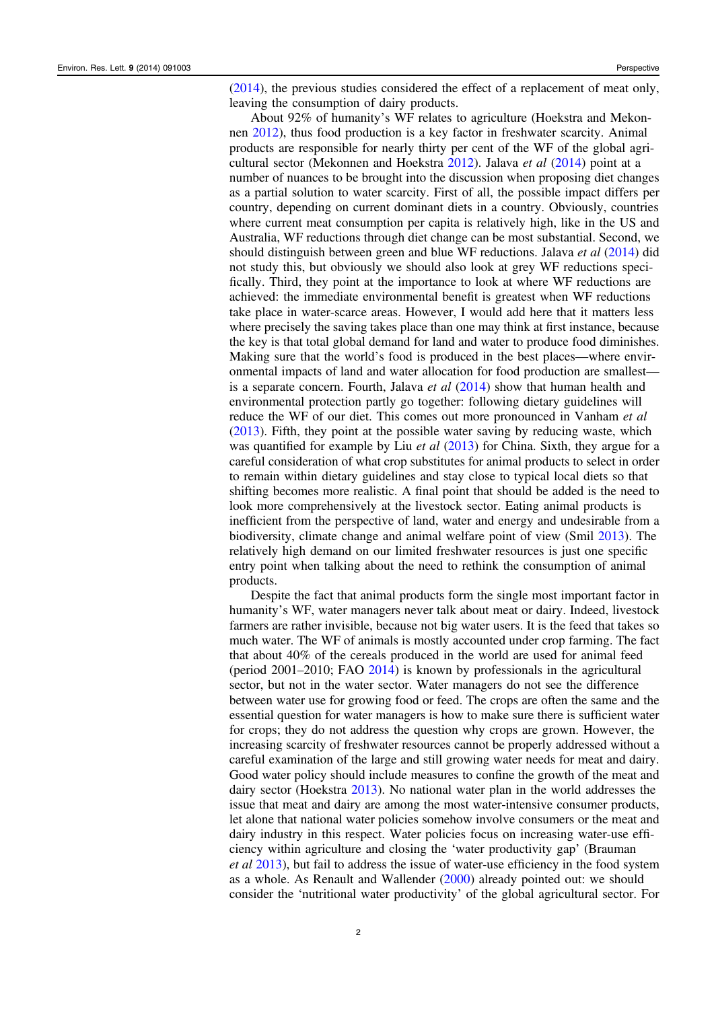([2014\)](#page-2-0), the previous studies considered the effect of a replacement of meat only, leaving the consumption of dairy products.

About 92% of humanity's WF relates to agriculture (Hoekstra and Mekonnen [2012\)](#page-2-0), thus food production is a key factor in freshwater scarcity. Animal products are responsible for nearly thirty per cent of the WF of the global agricultural sector (Mekonnen and Hoekstra [2012](#page-2-0)). Jalava et al [\(2014](#page-2-0)) point at a number of nuances to be brought into the discussion when proposing diet changes as a partial solution to water scarcity. First of all, the possible impact differs per country, depending on current dominant diets in a country. Obviously, countries where current meat consumption per capita is relatively high, like in the US and Australia, WF reductions through diet change can be most substantial. Second, we should distinguish between green and blue WF reductions. Jalava et al ([2014](#page-2-0)) did not study this, but obviously we should also look at grey WF reductions specifically. Third, they point at the importance to look at where WF reductions are achieved: the immediate environmental benefit is greatest when WF reductions take place in water-scarce areas. However, I would add here that it matters less where precisely the saving takes place than one may think at first instance, because the key is that total global demand for land and water to produce food diminishes. Making sure that the world's food is produced in the best places—where environmental impacts of land and water allocation for food production are smallest is a separate concern. Fourth, Jalava *et al*  $(2014)$  $(2014)$  $(2014)$  show that human health and environmental protection partly go together: following dietary guidelines will reduce the WF of our diet. This comes out more pronounced in Vanham *et al* ([2013\)](#page-2-0). Fifth, they point at the possible water saving by reducing waste, which was quantified for example by Liu *et al* ([2013\)](#page-2-0) for China. Sixth, they argue for a careful consideration of what crop substitutes for animal products to select in order to remain within dietary guidelines and stay close to typical local diets so that shifting becomes more realistic. A final point that should be added is the need to look more comprehensively at the livestock sector. Eating animal products is inefficient from the perspective of land, water and energy and undesirable from a biodiversity, climate change and animal welfare point of view (Smil [2013\)](#page-2-0). The relatively high demand on our limited freshwater resources is just one specific entry point when talking about the need to rethink the consumption of animal products.

Despite the fact that animal products form the single most important factor in humanity's WF, water managers never talk about meat or dairy. Indeed, livestock farmers are rather invisible, because not big water users. It is the feed that takes so much water. The WF of animals is mostly accounted under crop farming. The fact that about 40% of the cereals produced in the world are used for animal feed (period 2001–2010; FAO [2014](#page-2-0)) is known by professionals in the agricultural sector, but not in the water sector. Water managers do not see the difference between water use for growing food or feed. The crops are often the same and the essential question for water managers is how to make sure there is sufficient water for crops; they do not address the question why crops are grown. However, the increasing scarcity of freshwater resources cannot be properly addressed without a careful examination of the large and still growing water needs for meat and dairy. Good water policy should include measures to confine the growth of the meat and dairy sector (Hoekstra [2013\)](#page-2-0). No national water plan in the world addresses the issue that meat and dairy are among the most water-intensive consumer products, let alone that national water policies somehow involve consumers or the meat and dairy industry in this respect. Water policies focus on increasing water-use efficiency within agriculture and closing the 'water productivity gap' (Brauman et al [2013](#page-2-0)), but fail to address the issue of water-use efficiency in the food system as a whole. As Renault and Wallender [\(2000](#page-2-0)) already pointed out: we should consider the 'nutritional water productivity' of the global agricultural sector. For